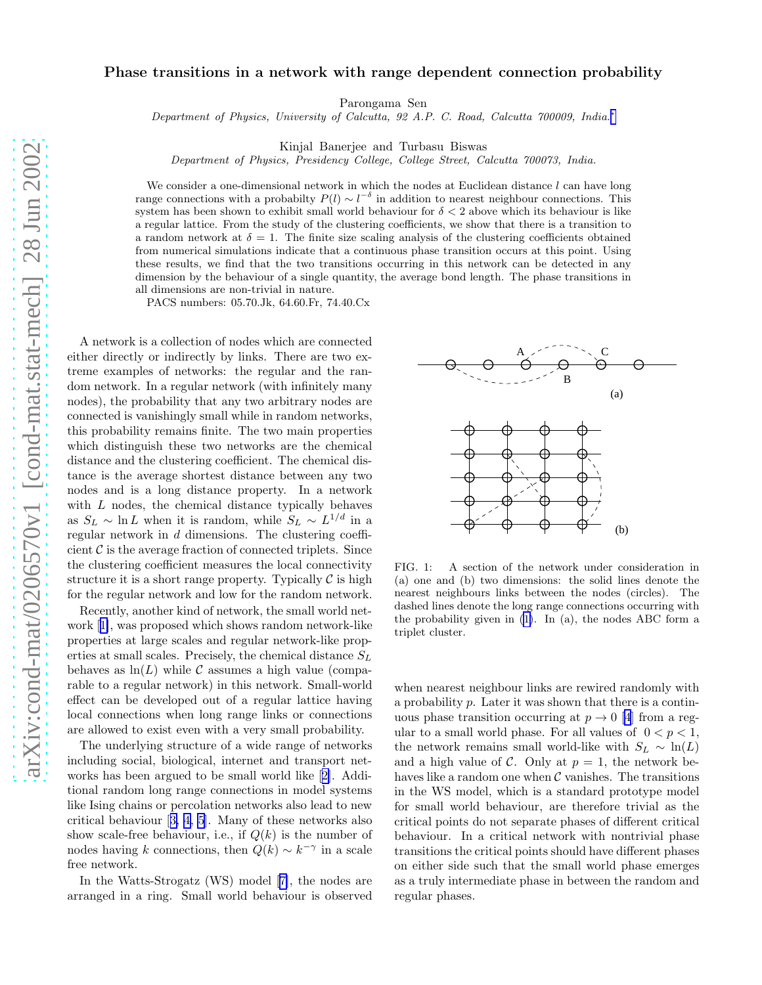## Phase transitions in a network with range dependent connection probability

Parongama Sen

Department of Physics, University of Calcutta, 92 A.P. C. Road, Calcutta 700009, India.<sup>\*</sup>

Kinjal Banerjee and Turbasu Biswas

Department of Physics, Presidency College, College Street, Calcutta 700073, India.

We consider a one-dimensional network in which the nodes at Euclidean distance  $l$  can have long range connections with a probabilty  $P(l) \sim l^{-\delta}$  in addition to nearest neighbour connections. This system has been shown to exhibit small world behaviour for  $\delta < 2$  above which its behaviour is like a regular lattice. From the study of the clustering coefficients, we show that there is a transition to a random network at  $\delta = 1$ . The finite size scaling analysis of the clustering coefficients obtained from numerical simulations indicate that a continuous phase transition occurs at this point. Using these results, we find that the two transitions occurring in this network can be detected in any dimension by the behaviour of a single quantity, the average bond length. The phase transitions in all dimensions are non-trivial in nature.

PACS numbers: 05.70.Jk, 64.60.Fr, 74.40.Cx

A network is a collection of nodes which are connected either directly or indirectly by links. There are two extreme examples of networks: the regular and the random network. In a regular network (with infinitely many nodes), the probability that any two arbitrary nodes are connected is vanishingly small while in random networks, this probability remains finite. The two main properties which distinguish these two networks are the chemical distance and the clustering coefficient. The chemical distance is the average shortest distance between any two nodes and is a long distance property. In a network with  $L$  nodes, the chemical distance typically behaves as  $S_L \sim \ln L$  when it is random, while  $S_L \sim L^{1/d}$  in a regular network in d dimensions. The clustering coefficient  $\mathcal C$  is the average fraction of connected triplets. Since the clustering coefficient measures the local connectivity structure it is a short range property. Typically  $\mathcal C$  is high for the regular network and low for the random network.

Recently, another kind of network, the small world network[[1\]](#page-3-0), was proposed which shows random network-like properties at large scales and regular network-like properties at small scales. Precisely, the chemical distance  $S_L$ behaves as  $\ln(L)$  while C assumes a high value (comparable to a regular network) in this network. Small-world effect can be developed out of a regular lattice having local connections when long range links or connections are allowed to exist even with a very small probability.

The underlying structure of a wide range of networks including social, biological, internet and transport networks has been argued to be small world like[[2\]](#page-3-0). Additional random long range connections in model systems like Ising chains or percolation networks also lead to new critical behaviour[[3, 4, 5](#page-3-0)]. Many of these networks also show scale-free behaviour, i.e., if  $Q(k)$  is the number of nodes having k connections, then  $Q(k) \sim k^{-\gamma}$  in a scale free network.

In the Watts-Strogatz (WS) model[[7\]](#page-3-0), the nodes are arranged in a ring. Small world behaviour is observed



FIG. 1: A section of the network under consideration in (a) one and (b) two dimensions: the solid lines denote the nearest neighbours links between the nodes (circles). The dashed lines denote the long range connections occurring with the probability given in([1\)](#page-1-0). In (a), the nodes ABC form a triplet cluster.

when nearest neighbour links are rewired randomly with a probability p. Later it was shown that there is a continuous phase transition occurring at  $p \to 0$  [\[4](#page-3-0)] from a regular to a small world phase. For all values of  $0 < p < 1$ , the network remains small world-like with  $S_L \sim \ln(L)$ and a high value of C. Only at  $p = 1$ , the network behaves like a random one when  $\mathcal C$  vanishes. The transitions in the WS model, which is a standard prototype model for small world behaviour, are therefore trivial as the critical points do not separate phases of different critical behaviour. In a critical network with nontrivial phase transitions the critical points should have different phases on either side such that the small world phase emerges as a truly intermediate phase in between the random and regular phases.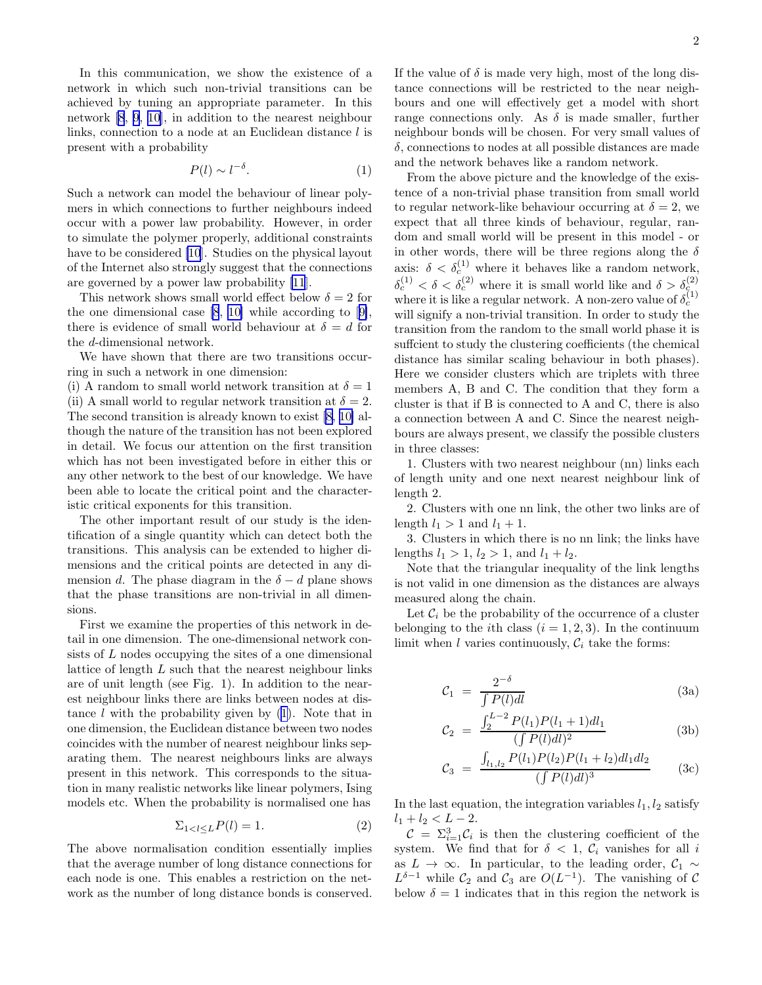<span id="page-1-0"></span>In this communication, we show the existence of a network in which such non-trivial transitions can be achieved by tuning an appropriate parameter. In this network [\[8](#page-3-0), [9](#page-3-0), [10\]](#page-3-0), in addition to the nearest neighbour links, connection to a node at an Euclidean distance  $l$  is present with a probability

$$
P(l) \sim l^{-\delta}.\tag{1}
$$

Such a network can model the behaviour of linear polymers in which connections to further neighbours indeed occur with a power law probability. However, in order to simulate the polymer properly, additional constraints have to be considered [\[10](#page-3-0)]. Studies on the physical layout of the Internet also strongly suggest that the connections are governed by a power law probability [\[11](#page-3-0)].

This network shows small world effect below  $\delta = 2$  for the one dimensional case [\[8](#page-3-0), [10\]](#page-3-0) while according to[[9\]](#page-3-0), there is evidence of small world behaviour at  $\delta = d$  for the d-dimensional network.

We have shown that there are two transitions occurring in such a network in one dimension:

(i) A random to small world network transition at  $\delta = 1$ (ii) A small world to regular network transition at  $\delta = 2$ . The second transition is already known to exist [\[8](#page-3-0), [10\]](#page-3-0) although the nature of the transition has not been explored in detail. We focus our attention on the first transition which has not been investigated before in either this or any other network to the best of our knowledge. We have been able to locate the critical point and the characteristic critical exponents for this transition.

The other important result of our study is the identification of a single quantity which can detect both the transitions. This analysis can be extended to higher dimensions and the critical points are detected in any dimension d. The phase diagram in the  $\delta - d$  plane shows that the phase transitions are non-trivial in all dimensions.

First we examine the properties of this network in detail in one dimension. The one-dimensional network consists of L nodes occupying the sites of a one dimensional lattice of length L such that the nearest neighbour links are of unit length (see Fig. 1). In addition to the nearest neighbour links there are links between nodes at distance  $l$  with the probability given by  $(1)$ . Note that in one dimension, the Euclidean distance between two nodes coincides with the number of nearest neighbour links separating them. The nearest neighbours links are always present in this network. This corresponds to the situation in many realistic networks like linear polymers, Ising models etc. When the probability is normalised one has

$$
\sum_{1 < l \le L} P(l) = 1. \tag{2}
$$

The above normalisation condition essentially implies that the average number of long distance connections for each node is one. This enables a restriction on the network as the number of long distance bonds is conserved. If the value of  $\delta$  is made very high, most of the long distance connections will be restricted to the near neighbours and one will effectively get a model with short range connections only. As  $\delta$  is made smaller, further neighbour bonds will be chosen. For very small values of  $\delta$ , connections to nodes at all possible distances are made and the network behaves like a random network.

From the above picture and the knowledge of the existence of a non-trivial phase transition from small world to regular network-like behaviour occurring at  $\delta = 2$ , we expect that all three kinds of behaviour, regular, random and small world will be present in this model - or in other words, there will be three regions along the  $\delta$ axis:  $\delta < \delta_c^{(1)}$  where it behaves like a random network,  $\delta_c^{(1)} < \delta < \delta_c^{(2)}$  where it is small world like and  $\delta > \delta_c^{(2)}$ . where it is like a regular network. A non-zero value of  $\delta_c^{(1)}$ will signify a non-trivial transition. In order to study the transition from the random to the small world phase it is suffcient to study the clustering coefficients (the chemical distance has similar scaling behaviour in both phases). Here we consider clusters which are triplets with three members A, B and C. The condition that they form a cluster is that if B is connected to A and C, there is also a connection between A and C. Since the nearest neighbours are always present, we classify the possible clusters in three classes:

1. Clusters with two nearest neighbour (nn) links each of length unity and one next nearest neighbour link of length 2.

2. Clusters with one nn link, the other two links are of length  $l_1 > 1$  and  $l_1 + 1$ .

3. Clusters in which there is no nn link; the links have lengths  $l_1 > 1$ ,  $l_2 > 1$ , and  $l_1 + l_2$ .

Note that the triangular inequality of the link lengths is not valid in one dimension as the distances are always measured along the chain.

Let  $\mathcal{C}_i$  be the probability of the occurrence of a cluster belonging to the *i*th class  $(i = 1, 2, 3)$ . In the continuum limit when  $l$  varies continuously,  $\mathcal{C}_i$  take the forms:

$$
C_1 = \frac{2^{-\delta}}{\int P(l)dl} \tag{3a}
$$

$$
\mathcal{C}_2 = \frac{\int_2^{L-2} P(l_1)P(l_1+1)dl_1}{(\int P(l)dl)^2} \tag{3b}
$$

$$
C_3 = \frac{\int_{l_1, l_2} P(l_1) P(l_2) P(l_1 + l_2) dl_1 dl_2}{(\int P(l) dl)^3}
$$
 (3c)

In the last equation, the integration variables  $l_1, l_2$  satisfy  $l_1 + l_2 < L - 2.$ 

 $\mathcal{C} = \sum_{i=1}^{3} \mathcal{C}_i$  is then the clustering coefficient of the system. We find that for  $\delta < 1$ ,  $\mathcal{C}_i$  vanishes for all i as  $L \to \infty$ . In particular, to the leading order,  $C_1 \sim$  $L^{\delta-1}$  while  $\mathcal{C}_2$  and  $\mathcal{C}_3$  are  $O(L^{-1})$ . The vanishing of  $\mathcal{C}$ below  $\delta = 1$  indicates that in this region the network is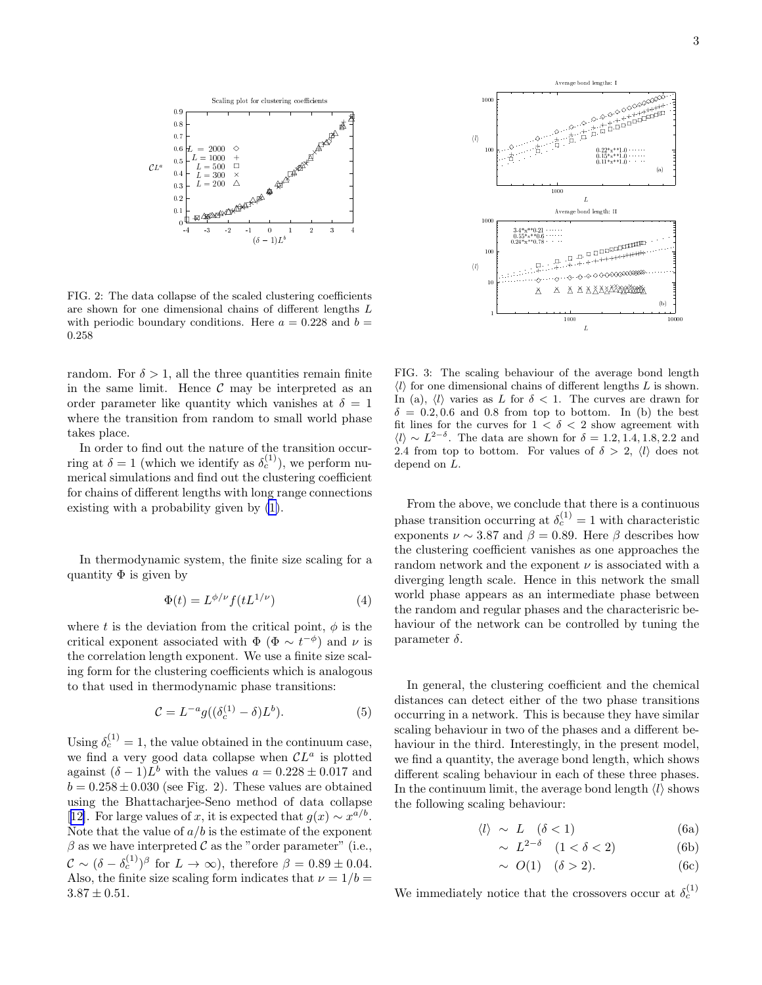<span id="page-2-0"></span>

FIG. 2: The data collapse of the scaled clustering coefficients are shown for one dimensional chains of different lengths L with periodic boundary conditions. Here  $a = 0.228$  and  $b =$ 0.258

random. For  $\delta > 1$ , all the three quantities remain finite in the same limit. Hence  $\mathcal C$  may be interpreted as an order parameter like quantity which vanishes at  $\delta = 1$ where the transition from random to small world phase takes place.

In order to find out the nature of the transition occurring at  $\delta = 1$  (which we identify as  $\delta_c^{(1)}$ ), we perform numerical simulations and find out the clustering coefficient for chains of different lengths with long range connections existing with a probability given by [\(1\)](#page-1-0).

In thermodynamic system, the finite size scaling for a quantity  $\Phi$  is given by

$$
\Phi(t) = L^{\phi/\nu} f(tL^{1/\nu})\tag{4}
$$

where t is the deviation from the critical point,  $\phi$  is the critical exponent associated with  $\Phi$  ( $\Phi \sim t^{-\phi}$ ) and  $\nu$  is the correlation length exponent. We use a finite size scaling form for the clustering coefficients which is analogous to that used in thermodynamic phase transitions:

$$
\mathcal{C} = L^{-a} g((\delta_c^{(1)} - \delta)L^b). \tag{5}
$$

Using  $\delta_c^{(1)} = 1$ , the value obtained in the continuum case, we find a very good data collapse when  $CL^a$  is plotted against  $(\delta - 1)L^b$  with the values  $a = 0.228 \pm 0.017$  and  $b = 0.258 \pm 0.030$  (see Fig. 2). These values are obtained using the Bhattacharjee-Seno method of data collapse [[12\]](#page-3-0). For large values of x, it is expected that  $g(x) \sim x^{a/b}$ . Note that the value of  $a/b$  is the estimate of the exponent  $\beta$  as we have interpreted C as the "order parameter" (i.e.,  $\mathcal{C} \sim (\delta - \delta_c^{(1)})^{\beta}$  for  $L \to \infty$ ), therefore  $\beta = 0.89 \pm 0.04$ . Also, the finite size scaling form indicates that  $\nu = 1/b =$  $3.87 \pm 0.51$ .



FIG. 3: The scaling behaviour of the average bond length  $\langle l \rangle$  for one dimensional chains of different lengths L is shown. In (a),  $\langle l \rangle$  varies as L for  $\delta < 1$ . The curves are drawn for  $\delta = 0.2, 0.6$  and 0.8 from top to bottom. In (b) the best fit lines for the curves for  $1 < \delta < 2$  show agreement with  $\langle l \rangle \sim L^{2-\delta}$ . The data are shown for  $\delta = 1.2, 1.4, 1.8, 2.2$  and 2.4 from top to bottom. For values of  $\delta > 2$ ,  $\langle l \rangle$  does not depend on L.

From the above, we conclude that there is a continuous phase transition occurring at  $\delta_c^{(1)} = 1$  with characteristic exponents  $\nu \sim 3.87$  and  $\beta = 0.89$ . Here  $\beta$  describes how the clustering coefficient vanishes as one approaches the random network and the exponent  $\nu$  is associated with a diverging length scale. Hence in this network the small world phase appears as an intermediate phase between the random and regular phases and the characterisric behaviour of the network can be controlled by tuning the parameter  $\delta$ .

In general, the clustering coefficient and the chemical distances can detect either of the two phase transitions occurring in a network. This is because they have similar scaling behaviour in two of the phases and a different behaviour in the third. Interestingly, in the present model, we find a quantity, the average bond length, which shows different scaling behaviour in each of these three phases. In the continuum limit, the average bond length  $\langle l \rangle$  shows the following scaling behaviour:

$$
\langle l \rangle \sim L \quad (\delta < 1) \tag{6a}
$$

$$
\sim L^{2-\delta} \quad (1 < \delta < 2) \tag{6b}
$$

$$
\sim O(1) \quad (\delta > 2). \tag{6c}
$$

We immediately notice that the crossovers occur at  $\delta_c^{(1)}$